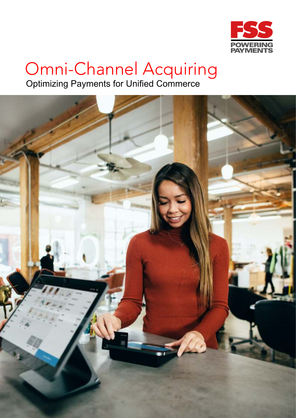

# Omni-Channel Acquiring

Optimizing Payments for Unified Commerce

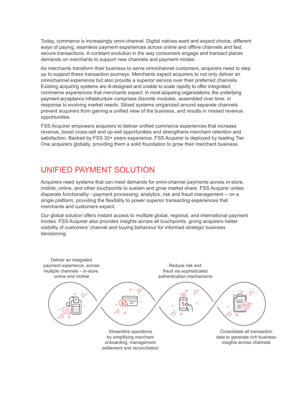Today, commerce is increasingly omni-channel. Digital natives want and expect choice, different ways of paying, seamless payment experiences across online and offline channels and fast, secure transactions. A constant evolution in the way consumers engage and transact places demands on merchants to support new channels and payment modes.

As merchants transform their business to serve omnichannel customers, acquirers need to step up to support these transaction journeys. Merchants expect acquirers to not only deliver an omnichannel experience but also provide a superior service over their preferred channels. Existing acquiring systems are ill-designed and unable to scale rapidly to offer integrated, commerce experiences that merchants expect. In most acquiring organizations, the underlying payment acceptance infrastructure comprises discrete modules, assembled over time, in response to evolving market needs. Siloed systems orrganized around separate channels prevent acquirers from gaining a unified view of the business, and results in missed revenue opportunities.

FSS Acquirer empowers acquirers to deliver unified commerce experiences that increase revenue, boost cross-sell and up-sell opportunities and strengthens merchant retention and satisfaction. Backed by FSS 30+ years experience, FSS Acquirer is deployed by leading Tier One acquirers globally, providing them a solid foundation to grow their merchant business.

### UNIFIED PAYMENT SOLUTION

Acquirers need systems that can meet demands for omni-channel payments across in-store, mobile, online, and other touchpoints to sustain and grow market share. FSS Acquirer unites disparate functionality - payment processing, analytics, risk and fraud management -- on a single platform, providing the flexibility to power superior transacting experiences that merchants and customers expect.

Our global solution offers instant access to multiple global, regional, and international payment modes. FSS Acquirer also provides insights across all touchpoints, giving acquirers better visibility of customers' channel and buying behaviour for informed strategic business decisioning.

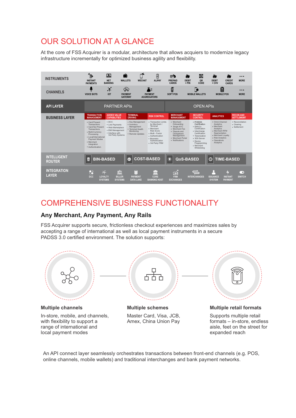# OUR SOLUTION AT A GLANCE

At the core of FSS Acquirer is a modular, architecture that allows acquiers to modernize legacy infrastructure incrementally for optimized business agility and flexibility.



## COMPREHENSIVE BUSINESS FUNCTIONALITY

#### **Any Merchant, Any Payment, Any Rails**

FSS Acquirer supports secure, frictionless checkout experiences and maximizes sales by accepting a range of international as well as local payment instruments in a secure PADSS 3.0 certified environment. The solution supports:



An API connect layer seamlessly orchestrates transactions between front-end channels (e.g. POS, online channels, mobile wallets) and traditional interchanges and bank payment networks.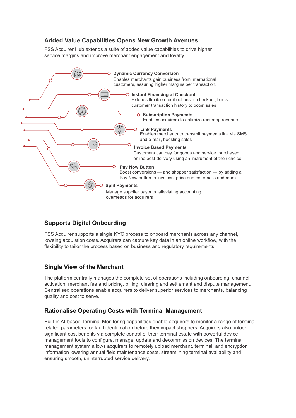#### **Added Value Capabilities Opens New Growth Avenues**

FSS Acquirer Hub extends a suite of added value capabilities to drive higher service margins and improve merchant engagement and loyalty.



#### **Supports Digital Onboarding**

FSS Acquirer supports a single KYC process to onboard merchants across any channel, loweing acquistion costs. Acquirers can capture key data in an online workflow, with the flexibility to tailor the process based on business and regulatory requirements.

#### **Single View of the Merchant**

The platform centrally manages the complete set of operations including onboarding, channel activation, merchant fee and pricing, billing, clearing and settlement and dispute management. Centralised operations enable acquirers to deliver superior services to merchants, balancing quality and cost to serve.

#### **Rationalise Operating Costs with Terminal Management**

Built-in AI-based Terminal Monitoring capabilities enable acquirers to monitor a range of terminal related parameters for fault identification before they impact shoppers. Acquirers also unlock significant cost benefits via complete control of their terminal estate with powerful device management tools to configure, manage, update and decommission devices. The terminal management system allows acquirers to remotely upload merchant, terminal, and encryption information lowering annual field maintenance costs, streamlining terminal availability and ensuring smooth, uninterrupted service delivery.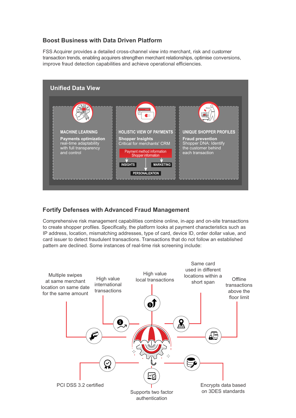#### **Boost Business with Data Driven Platform**

FSS Acquirer provides a detailed cross-channel view into merchant, risk and customer transaction trends, enabling acquirers strengthen merchant relationships, optimise conversions, improve fraud detection capabilities and achieve operational efficiencies.



#### **Fortify Defenses with Advanced Fraud Management**

Comprehensive risk management capabilities combine online, in-app and on-site transactions to create shopper profiles. Specifically, the platform looks at payment characteristics such as IP address, location, mismatching addresses, type of card, device ID, order dollar value, and card issuer to detect fraudulent transactions. Transactions that do not follow an established pattern are declined. Some instances of real-time risk screening include: